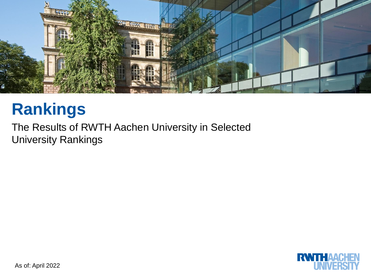

# **Rankings**

The Results of RWTH Aachen University in Selected University Rankings

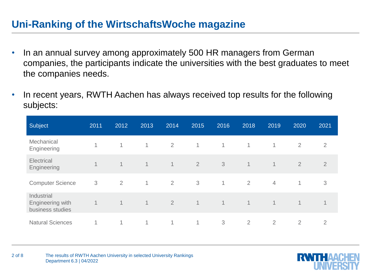#### **Uni-Ranking of the WirtschaftsWoche magazine**

- In an annual survey among approximately 500 HR managers from German companies, the participants indicate the universities with the best graduates to meet the companies needs.
- In recent years, RWTH Aachen has always received top results for the following subjects:

| Subject                                            | 2011           | 2012           | 2013           | 2014           | 2015           | 2016         | 2018           | 2019           | 2020           | 2021           |
|----------------------------------------------------|----------------|----------------|----------------|----------------|----------------|--------------|----------------|----------------|----------------|----------------|
| Mechanical<br>Engineering                          | $\overline{A}$ | 1              | $\mathbf{1}$   | 2              | $\mathbf{1}$   | $\mathbf{1}$ | $\mathbf{1}$   | $\mathbf 1$    | $\overline{2}$ | $\overline{2}$ |
| Electrical<br>Engineering                          | $\mathbf 1$    | $\mathbf 1$    | $\mathbf{1}$   | $\overline{1}$ | $\overline{2}$ | 3            | $\mathbf 1$    | 1              | $\overline{2}$ | $\overline{2}$ |
| <b>Computer Science</b>                            | 3              | 2              | $\mathbf{1}$   | $\overline{2}$ | 3              | 1            | 2              | $\overline{4}$ | $\mathbf{1}$   | 3              |
| Industrial<br>Engineering with<br>business studies | 1              | $\overline{1}$ | $\overline{1}$ | $\overline{2}$ | $\mathbf{1}$   | 1            | $\mathbf{1}$   | 1              | $\mathbf 1$    | 1              |
| <b>Natural Sciences</b>                            | 1              | 1              | 1              | $\mathbf{1}$   | 1              | 3            | $\overline{2}$ | $\overline{2}$ | $\overline{2}$ | $\overline{2}$ |

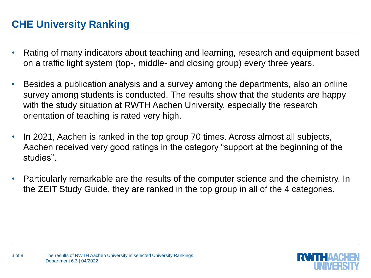# **CHE University Ranking**

- Rating of many indicators about teaching and learning, research and equipment based on a traffic light system (top-, middle- and closing group) every three years.
- Besides a publication analysis and a survey among the departments, also an online survey among students is conducted. The results show that the students are happy with the study situation at RWTH Aachen University, especially the research orientation of teaching is rated very high.
- In 2021, Aachen is ranked in the top group 70 times. Across almost all subjects, Aachen received very good ratings in the category "support at the beginning of the studies".
- Particularly remarkable are the results of the computer science and the chemistry. In the ZEIT Study Guide, they are ranked in the top group in all of the 4 categories.

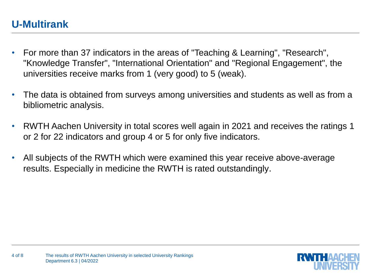## **U-Multirank**

- For more than 37 indicators in the areas of "Teaching & Learning", "Research", "Knowledge Transfer", "International Orientation" and "Regional Engagement", the universities receive marks from 1 (very good) to 5 (weak).
- The data is obtained from surveys among universities and students as well as from a bibliometric analysis.
- RWTH Aachen University in total scores well again in 2021 and receives the ratings 1 or 2 for 22 indicators and group 4 or 5 for only five indicators.
- All subjects of the RWTH which were examined this year receive above-average results. Especially in medicine the RWTH is rated outstandingly.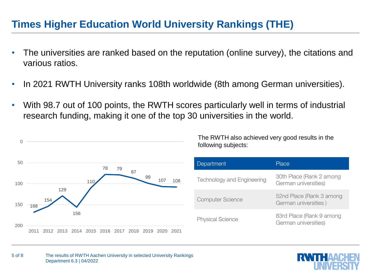#### **Times Higher Education World University Rankings (THE)**

- The universities are ranked based on the reputation (online survey), the citations and various ratios.
- In 2021 RWTH University ranks 108th worldwide (8th among German universities).
- With 98.7 out of 100 points, the RWTH scores particularly well in terms of industrial research funding, making it one of the top 30 universities in the world.



The RWTH also achieved very good results in the following subjects:

| Department                        | Place                                            |
|-----------------------------------|--------------------------------------------------|
| <b>Technology and Engineering</b> | 30th Place (Rank 2 among<br>German universities) |
| <b>Computer Science</b>           | 52nd Place (Rank 3 among<br>German universities) |
| <b>Physical Science</b>           | 83rd Place (Rank 9 among<br>German universities) |

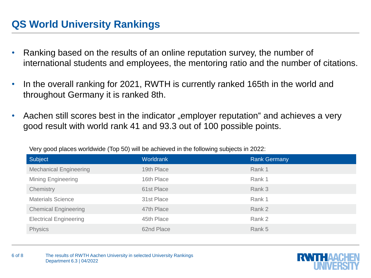## **QS World University Rankings**

- Ranking based on the results of an online reputation survey, the number of international students and employees, the mentoring ratio and the number of citations.
- In the overall ranking for 2021, RWTH is currently ranked 165th in the world and throughout Germany it is ranked 8th.
- Aachen still scores best in the indicator "employer reputation" and achieves a very good result with world rank 41 and 93.3 out of 100 possible points.

| Subject                       | Worldrank  | <b>Rank Germany</b> |
|-------------------------------|------------|---------------------|
| <b>Mechanical Engineering</b> | 19th Place | Rank 1              |
| <b>Mining Engineering</b>     | 16th Place | Rank 1              |
| Chemistry                     | 61st Place | Rank 3              |
| <b>Materials Science</b>      | 31st Place | Rank 1              |
| <b>Chemical Engineering</b>   | 47th Place | Rank 2              |
| <b>Electrical Engineering</b> | 45th Place | Rank 2              |
| <b>Physics</b>                | 62nd Place | Rank 5              |

Very good places worldwide (Top 50) will be achieved in the following subjects in 2022::

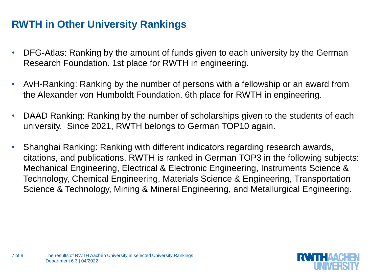## **RWTH in Other University Rankings**

- DFG-Atlas: Ranking by the amount of funds given to each university by the German Research Foundation. 1st place for RWTH in engineering.
- AvH-Ranking: Ranking by the number of persons with a fellowship or an award from the Alexander von Humboldt Foundation. 6th place for RWTH in engineering.
- DAAD Ranking: Ranking by the number of scholarships given to the students of each university. Since 2021, RWTH belongs to German TOP10 again.
- Shanghai Ranking: Ranking with different indicators regarding research awards, citations, and publications. RWTH is ranked in German TOP3 in the following subjects: Mechanical Engineering, Electrical & Electronic Engineering, Instruments Science & Technology, Chemical Engineering, Materials Science & Engineering, Transportation Science & Technology, Mining & Mineral Engineering, and Metallurgical Engineering.